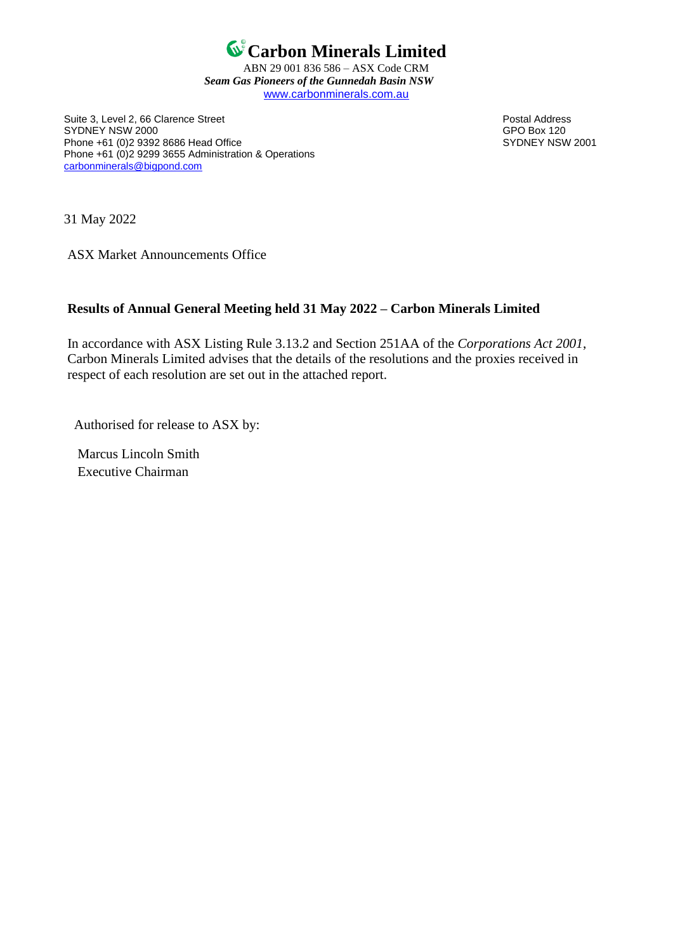

ABN 29 001 836 586 – ASX Code CRM *Seam Gas Pioneers of the Gunnedah Basin NSW* [www.carbonminerals.com.au](http://www.carbonminerals.com.au/)

Suite 3, Level 2, 66 Clarence Street **Postal Address**<br>SYDNEY NSW 2000 SYDNEY NSW 2000<br>
Phone +61 (0)2 9392 8686 Head Office<br>
Phone +61 (0)2 9392 8686 Head Office Phone +61 (0)2 9392 8686 Head Office Phone +61 (0)2 9299 3655 Administration & Operations [carbonminerals@bigpond.com](mailto:carbonminerals@bigpond.com)

31 May 2022

ASX Market Announcements Office

## **Results of Annual General Meeting held 31 May 2022 – Carbon Minerals Limited**

In accordance with ASX Listing Rule 3.13.2 and Section 251AA of the *Corporations Act 2001*, Carbon Minerals Limited advises that the details of the resolutions and the proxies received in respect of each resolution are set out in the attached report.

Authorised for release to ASX by:

 Marcus Lincoln Smith Executive Chairman